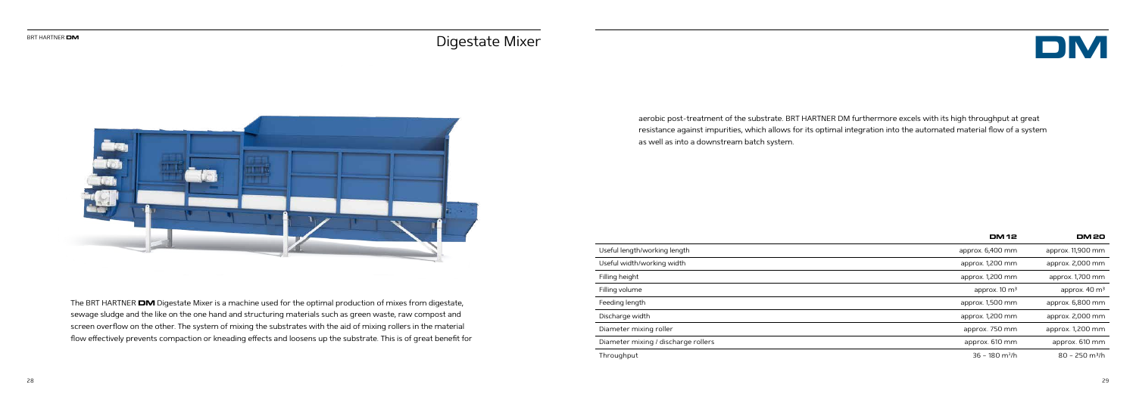

The BRT HARTNER **DM** Digestate Mixer is a machine used for the optimal production of mixes from digestate, sewage sludge and the like on the one hand and structuring materials such as green waste, raw compost and screen overflow on the other. The system of mixing the substrates with the aid of mixing rollers in the material flow effectively prevents compaction or kneading effects and loosens up the substrate. This is of great benefit for

|                                     | <b>DM 12</b>                 | <b>DM20</b>                  |
|-------------------------------------|------------------------------|------------------------------|
| Useful length/working length        | approx. 6,400 mm             | approx. 11,900 mm            |
| Useful width/working width          | approx. 1,200 mm             | approx. 2,000 mm             |
| Filling height                      | approx. 1,200 mm             | approx. 1,700 mm             |
| Filling volume                      | approx. $10 \text{ m}^3$     | approx. $40 \text{ m}^3$     |
| Feeding length                      | approx. 1,500 mm             | approx. 6,800 mm             |
| Discharge width                     | approx. 1,200 mm             | approx. 2,000 mm             |
| Diameter mixing roller              | approx. 750 mm               | approx. 1,200 mm             |
| Diameter mixing / discharge rollers | approx. 610 mm               | approx. 610 mm               |
| Throughput                          | $36 - 180$ m <sup>3</sup> /h | $80 - 250$ m <sup>3</sup> /h |

aerobic post-treatment of the substrate. BRT HARTNER DM furthermore excels with its high throughput at great resistance against impurities, which allows for its optimal integration into the automated material flow of a system as well as into a downstream batch system.

## Digestate Mixer